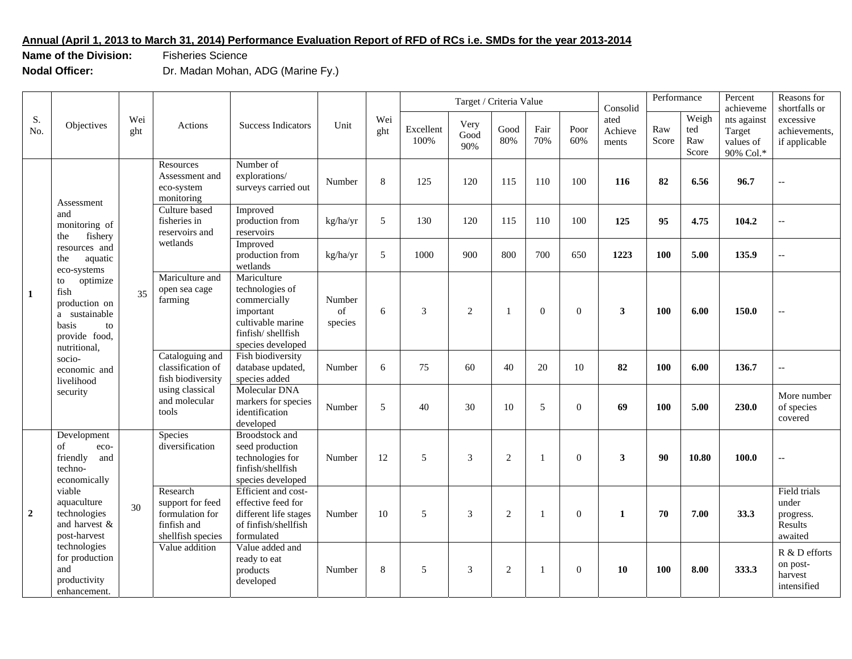## **Annual (April 1, 2013 to March 31, 2014) Performance Evaluation Report of RFD of RCs i.e. SMDs for the year 2013-2014**

**Name of the Division: Fisheries Science** 

**Nodal Officer:** Dr. Madan Mohan, ADG (Marine Fy.)

| S.<br>No.      | Objectives                                                                                                                                                                                                                                                             | Wei<br>ght | Actions                                                                                                                                                                                                              | Success Indicators                                                                                                         |                                                                                                        |            |                   | Target / Criteria Value |                |                |             | Consolid                 | Performance  |                              | Percent<br>Reasons for<br>shortfalls or<br>achieveme |                                                          |                          |
|----------------|------------------------------------------------------------------------------------------------------------------------------------------------------------------------------------------------------------------------------------------------------------------------|------------|----------------------------------------------------------------------------------------------------------------------------------------------------------------------------------------------------------------------|----------------------------------------------------------------------------------------------------------------------------|--------------------------------------------------------------------------------------------------------|------------|-------------------|-------------------------|----------------|----------------|-------------|--------------------------|--------------|------------------------------|------------------------------------------------------|----------------------------------------------------------|--------------------------|
|                |                                                                                                                                                                                                                                                                        |            |                                                                                                                                                                                                                      |                                                                                                                            | Unit                                                                                                   | Wei<br>ght | Excellent<br>100% | Very<br>Good<br>90%     | Good<br>80%    | Fair<br>70%    | Poor<br>60% | ated<br>Achieve<br>ments | Raw<br>Score | Weigh<br>ted<br>Raw<br>Score | nts against<br>Target<br>values of<br>90% Col.*      | excessive<br>achievements,<br>if applicable              |                          |
| $\mathbf{1}$   | Assessment<br>and<br>monitoring of<br>fishery<br>the<br>resources and<br>the<br>aquatic<br>eco-systems<br>optimize<br>to<br>fish<br>production on<br>a sustainable<br>basis<br>to<br>provide food,<br>nutritional,<br>socio-<br>economic and<br>livelihood<br>security | 35         | Resources<br>Assessment and<br>eco-system<br>monitoring                                                                                                                                                              | Number of<br>explorations/<br>surveys carried out                                                                          | Number                                                                                                 | 8          | 125               | 120                     | 115            | 110            | 100         | 116                      | 82           | 6.56                         | 96.7                                                 | $\overline{\phantom{a}}$                                 |                          |
|                |                                                                                                                                                                                                                                                                        |            | Culture based<br>fisheries in<br>reservoirs and<br>wetlands<br>Mariculture and<br>open sea cage<br>farming<br>Cataloguing and<br>classification of<br>fish biodiversity<br>using classical<br>and molecular<br>tools | Improved<br>production from<br>reservoirs                                                                                  | kg/ha/yr                                                                                               | 5          | 130               | 120                     | 115            | 110            | 100         | 125                      | 95           | 4.75                         | 104.2                                                | $\overline{\phantom{a}}$                                 |                          |
|                |                                                                                                                                                                                                                                                                        |            |                                                                                                                                                                                                                      | Improved<br>production from<br>wetlands                                                                                    | kg/ha/yr                                                                                               | 5          | 1000              | 900                     | 800            | 700            | 650         | 1223                     | 100          | 5.00                         | 135.9                                                | $\overline{\phantom{a}}$                                 |                          |
|                |                                                                                                                                                                                                                                                                        |            |                                                                                                                                                                                                                      | Mariculture<br>technologies of<br>commercially<br>important<br>cultivable marine<br>finfish/shellfish<br>species developed | Number<br>of<br>species                                                                                | 6          | 3                 | $\overline{c}$          | $\overline{1}$ | $\Omega$       | $\Omega$    | $\mathbf{3}$             | 100          | 6.00                         | 150.0                                                | $\overline{\phantom{a}}$                                 |                          |
|                |                                                                                                                                                                                                                                                                        |            |                                                                                                                                                                                                                      | Fish biodiversity<br>database updated,<br>species added                                                                    | Number                                                                                                 | 6          | 75                | 60                      | 40             | 20             | 10          | 82                       | 100          | 6.00                         | 136.7                                                | $\overline{\phantom{a}}$                                 |                          |
|                |                                                                                                                                                                                                                                                                        |            |                                                                                                                                                                                                                      | Molecular DNA<br>markers for species<br>identification<br>developed                                                        | Number                                                                                                 | 5          | 40                | 30                      | 10             | 5              | $\Omega$    | 69                       | 100          | 5.00                         | 230.0                                                | More number<br>of species<br>covered                     |                          |
| $\overline{2}$ | Development<br>of<br>eco-<br>friendly<br>and<br>techno-<br>economically                                                                                                                                                                                                | 30         |                                                                                                                                                                                                                      | Species<br>diversification                                                                                                 | <b>Broodstock</b> and<br>seed production<br>technologies for<br>finfish/shellfish<br>species developed | Number     | 12                | 5                       | 3              | $\overline{2}$ |             | $\Omega$                 | $\mathbf{3}$ | 90                           | 10.80                                                | 100.0                                                    | $\overline{\phantom{a}}$ |
|                | viable<br>aquaculture<br>technologies<br>and harvest &<br>post-harvest<br>technologies<br>for production<br>and<br>productivity<br>enhancement.                                                                                                                        |            | Research<br>support for feed<br>formulation for<br>finfish and<br>shellfish species                                                                                                                                  | Efficient and cost-<br>effective feed for<br>different life stages<br>of finfish/shellfish<br>formulated                   | Number                                                                                                 | 10         | 5                 | 3                       | 2              |                | $\theta$    | $\mathbf{1}$             | 70           | 7.00                         | 33.3                                                 | Field trials<br>under<br>progress.<br>Results<br>awaited |                          |
|                |                                                                                                                                                                                                                                                                        |            | Value addition                                                                                                                                                                                                       | Value added and<br>ready to eat<br>products<br>developed                                                                   | Number                                                                                                 | 8          | 5                 | 3                       | 2              | $\mathbf{1}$   | $\theta$    | 10                       | 100          | 8.00                         | 333.3                                                | R & D efforts<br>on post-<br>harvest<br>intensified      |                          |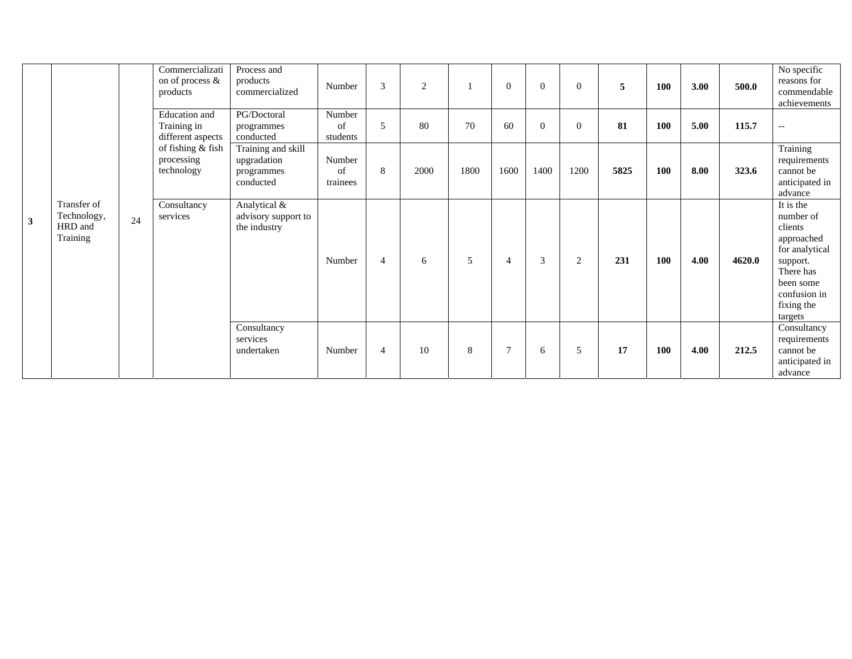|              |                                                   |    | Commercializati<br>on of process &<br>products                                                     | Process and<br>products<br>commercialized                    | Number                   | 3              | 2    |      | $\theta$       | $\theta$ | $\Omega$ | 5    | <b>100</b> | 3.00 | 500.0  | No specific<br>reasons for<br>commendable<br>achievements                                                                                        |
|--------------|---------------------------------------------------|----|----------------------------------------------------------------------------------------------------|--------------------------------------------------------------|--------------------------|----------------|------|------|----------------|----------|----------|------|------------|------|--------|--------------------------------------------------------------------------------------------------------------------------------------------------|
|              | Transfer of<br>Technology,<br>HRD and<br>Training |    | Education and<br>Training in<br>different aspects<br>of fishing & fish<br>processing<br>technology | PG/Doctoral<br>programmes<br>conducted                       | Number<br>of<br>students | 5              | 80   | 70   | 60             | $\Omega$ | $\Omega$ | 81   | <b>100</b> | 5.00 | 115.7  | $\overline{\phantom{a}}$                                                                                                                         |
|              |                                                   |    |                                                                                                    | Training and skill<br>upgradation<br>programmes<br>conducted | Number<br>of<br>trainees | 8              | 2000 | 1800 | 1600           | 1400     | 1200     | 5825 | 100        | 8.00 | 323.6  | Training<br>requirements<br>cannot be<br>anticipated in<br>advance                                                                               |
| $\mathbf{3}$ |                                                   | 24 | Consultancy<br>services                                                                            | Analytical &<br>advisory support to<br>the industry          | Number                   | $\overline{4}$ | 6    | 5    | $\overline{4}$ | 3        | 2        | 231  | <b>100</b> | 4.00 | 4620.0 | It is the<br>number of<br>clients<br>approached<br>for analytical<br>support.<br>There has<br>been some<br>confusion in<br>fixing the<br>targets |
|              |                                                   |    |                                                                                                    | Consultancy<br>services<br>undertaken                        | Number                   | $\overline{4}$ | 10   | 8    | $\overline{7}$ | 6        | 5        | 17   | <b>100</b> | 4.00 | 212.5  | Consultancy<br>requirements<br>cannot be<br>anticipated in<br>advance                                                                            |